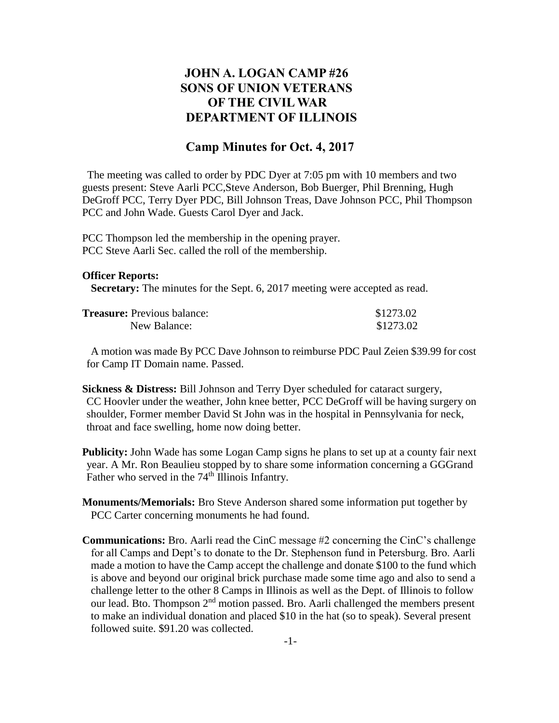## **JOHN A. LOGAN CAMP #26 SONS OF UNION VETERANS OF THE CIVIL WAR DEPARTMENT OF ILLINOIS**

## **Camp Minutes for Oct. 4, 2017**

The meeting was called to order by PDC Dyer at 7:05 pm with 10 members and two guests present: Steve Aarli PCC,Steve Anderson, Bob Buerger, Phil Brenning, Hugh DeGroff PCC, Terry Dyer PDC, Bill Johnson Treas, Dave Johnson PCC, Phil Thompson PCC and John Wade. Guests Carol Dyer and Jack.

PCC Thompson led the membership in the opening prayer. PCC Steve Aarli Sec. called the roll of the membership.

## **Officer Reports:**

**Secretary:** The minutes for the Sept. 6, 2017 meeting were accepted as read.

| <b>Treasure:</b> Previous balance: | \$1273.02 |
|------------------------------------|-----------|
| New Balance:                       | \$1273.02 |

 A motion was made By PCC Dave Johnson to reimburse PDC Paul Zeien \$39.99 for cost for Camp IT Domain name. Passed.

**Sickness & Distress:** Bill Johnson and Terry Dyer scheduled for cataract surgery, CC Hoovler under the weather, John knee better, PCC DeGroff will be having surgery on shoulder, Former member David St John was in the hospital in Pennsylvania for neck, throat and face swelling, home now doing better.

**Publicity:** John Wade has some Logan Camp signs he plans to set up at a county fair next year. A Mr. Ron Beaulieu stopped by to share some information concerning a GGGrand Father who served in the  $74<sup>th</sup>$  Illinois Infantry.

- **Monuments/Memorials:** Bro Steve Anderson shared some information put together by PCC Carter concerning monuments he had found.
- **Communications:** Bro. Aarli read the CinC message #2 concerning the CinC's challenge for all Camps and Dept's to donate to the Dr. Stephenson fund in Petersburg. Bro. Aarli made a motion to have the Camp accept the challenge and donate \$100 to the fund which is above and beyond our original brick purchase made some time ago and also to send a challenge letter to the other 8 Camps in Illinois as well as the Dept. of Illinois to follow our lead. Bto. Thompson 2nd motion passed. Bro. Aarli challenged the members present to make an individual donation and placed \$10 in the hat (so to speak). Several present followed suite. \$91.20 was collected.